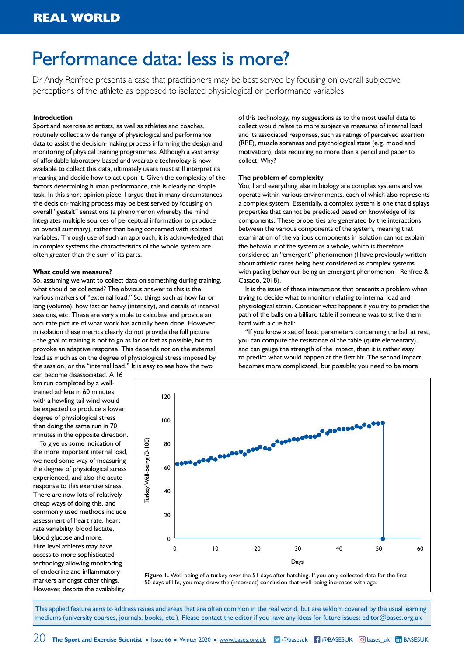# Performance data: less is more?

Dr Andy Renfree presents a case that practitioners may be best served by focusing on overall subjective perceptions of the athlete as opposed to isolated physiological or performance variables.

# **Introduction**

Sport and exercise scientists, as well as athletes and coaches, routinely collect a wide range of physiological and performance data to assist the decision-making process informing the design and monitoring of physical training programmes. Although a vast array of affordable laboratory-based and wearable technology is now available to collect this data, ultimately users must still interpret its meaning and decide how to act upon it. Given the complexity of the factors determining human performance, this is clearly no simple task. In this short opinion piece, I argue that in many circumstances, the decision-making process may be best served by focusing on overall "gestalt" sensations (a phenomenon whereby the mind integrates multiple sources of perceptual information to produce an overall summary), rather than being concerned with isolated variables. Through use of such an approach, it is acknowledged that in complex systems the characteristics of the whole system are often greater than the sum of its parts.

## **What could we measure?**

So, assuming we want to collect data on something during training, what should be collected? The obvious answer to this is the various markers of "external load." So, things such as how far or long (volume), how fast or heavy (intensity), and details of interval sessions, etc. These are very simple to calculate and provide an accurate picture of what work has actually been done. However, in isolation these metrics clearly do not provide the full picture - the goal of training is not to go as far or fast as possible, but to provoke an adaptive response. This depends not on the external load as much as on the degree of physiological stress imposed by the session, or the "internal load." It is easy to see how the two

of this technology, my suggestions as to the most useful data to collect would relate to more subjective measures of internal load and its associated responses, such as ratings of perceived exertion (RPE), muscle soreness and psychological state (e.g. mood and motivation); data requiring no more than a pencil and paper to collect. Why?

#### **The problem of complexity**

You, I and everything else in biology are complex systems and we operate within various environments, each of which also represents a complex system. Essentially, a complex system is one that displays properties that cannot be predicted based on knowledge of its components. These properties are generated by the interactions between the various components of the system, meaning that examination of the various components in isolation cannot explain the behaviour of the system as a whole, which is therefore considered an "emergent" phenomenon (I have previously written about athletic races being best considered as complex systems with pacing behaviour being an emergent phenomenon - Renfree & Casado, 2018).

It is the issue of these interactions that presents a problem when trying to decide what to monitor relating to internal load and physiological strain. Consider what happens if you try to predict the path of the balls on a billiard table if someone was to strike them hard with a cue ball:

"If you know a set of basic parameters concerning the ball at rest, you can compute the resistance of the table (quite elementary), and can gauge the strength of the impact, then it is rather easy to predict what would happen at the first hit. The second impact becomes more complicated, but possible; you need to be more

can become disassociated. A 16 km run completed by a welltrained athlete in 60 minutes with a howling tail wind would be expected to produce a lower degree of physiological stress than doing the same run in 70 minutes in the opposite direction.

To give us some indication of the more important internal load, we need some way of measuring the degree of physiological stress experienced, and also the acute response to this exercise stress. There are now lots of relatively cheap ways of doing this, and commonly used methods include assessment of heart rate, heart rate variability, blood lactate, blood glucose and more. Elite level athletes may have access to more sophisticated technology allowing monitoring of endocrine and inflammatory markers amongst other things. However, despite the availability



**Figure 1.** Well-being of a turkey over the 51 days after hatching. If you only collected data for the first 50 days of life, you may draw the (incorrect) conclusion that well-being increases with age.

This applied feature aims to address issues and areas that are often common in the real world, but are seldom covered by the usual learning mediums (university courses, journals, books, etc.). Please contact the editor if you have any ideas for future issues: [editor@bases.org.uk](mailto:editor@bases.org.uk)